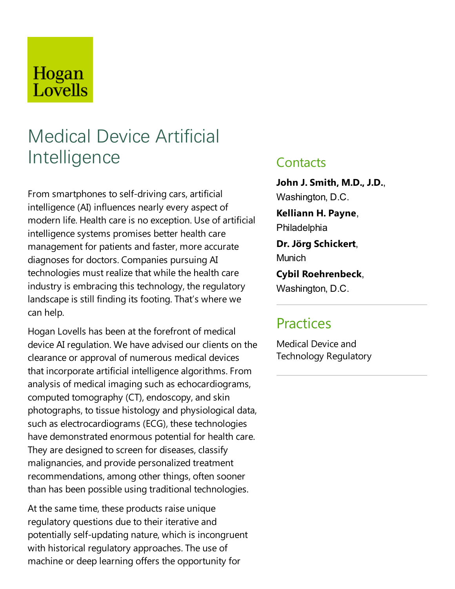## Hogan Lovells

# Medical Device Artificial Intelligence

From smartphones to self-driving cars, artificial intelligence(AI) influences nearly every aspect of modern life. Health care is no exception. Use of artificial intelligence systems promises better health care management for patients and faster, more accurate diagnoses for doctors. Companies pursuing AI technologies must realize that while the health care industry is embracing this technology, the regulatory landscape is still finding its footing. That's where we can help.

Hogan Lovells has been at the forefront of medical device AI regulation. We have advised our clients on the clearance or approval of numerous medical devices that incorporate artificial intelligence algorithms. From analysis of medical imaging such as echocardiograms, computed tomography (CT), endoscopy, and skin photographs, to tissue histology and physiological data, such as electrocardiograms (ECG), these technologies have demonstrated enormous potential for health care. They are designed to screen for diseases, classify malignancies, and provide personalized treatment recommendations, among other things, often sooner than has been possible using traditional technologies.

At the same time, these products raise unique regulatory questions due to their iterative and potentially self-updating nature, which is incongruent with historical regulatory approaches. The use of machine or deep learning offers the opportunity for

### **Contacts**

**John J. Smith, M.D., J.D.**, Washington, D.C.

**Kelliann H. Payne**, Philadelphia

**Dr. Jörg Schickert**, Munich

**Cybil Roehrenbeck**, Washington, D.C.

## **Practices**

Medical Device and Technology Regulatory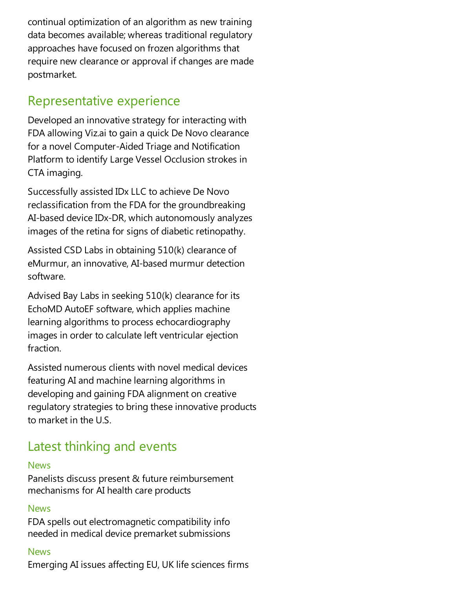continual optimization of an algorithm as new training data becomes available; whereas traditional regulatory approaches have focused on frozen algorithms that require new clearance or approval if changes are made postmarket.

## Representative experience

Developed an innovative strategy for interacting with FDA allowing Viz.ai to gain a quick De Novo clearance for a novel Computer-Aided Triage and Notification Platform to identify Large Vessel Occlusion strokes in CTA imaging.

Successfully assisted IDxLLC to achieve De Novo reclassification from the FDA for the groundbreaking AI-based device IDx-DR, which autonomously analyzes images of the retina for signs of diabetic retinopathy.

Assisted CSD Labs in obtaining 510(k) clearance of eMurmur,an innovative, AI-based murmur detection software.

Advised Bay Labs in seeking  $510(k)$  clearance for its EchoMD AutoEF software, which applies machine learning algorithms to process echocardiography images in order to calculate left ventricular ejection fraction.

Assisted numerous clients with novel medical devices featuring AI and machine learning algorithms in developing and gaining FDA alignment on creative regulatory strategies to bring these innovative products to market in the U.S.

## Latest thinking and events

#### **News**

Panelists discuss present & future reimbursement mechanisms for AI health care products

#### **News**

FDA spells out electromagnetic compatibility info needed in medical device premarket submissions

#### **News**

Emerging AI issues affecting EU, UK life sciences firms